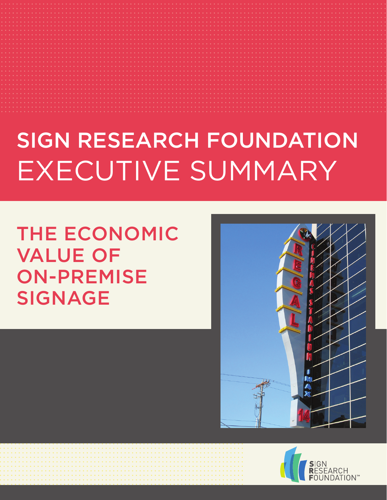## SIGN RESEARCH FOUNDATION EXECUTIVE SUMMARY

THE ECONOMIC VALUE OF ON-PREMISE SIGNAGE



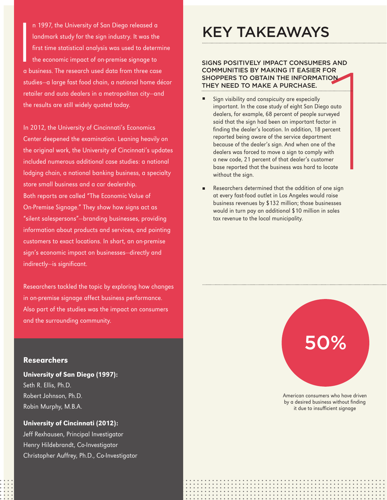I n 1997, the University of San Diego released a landmark study for the sign industry. It was the first time statistical analysis was used to determine the economic impact of on-premise signage to a business. The research used data from three case studies—a large fast food chain, a national home décor retailer and auto dealers in a metropolitan city—and the results are still widely quoted today.

In 2012, the University of Cincinnati's Economics Center deepened the examination. Leaning heavily on the original work, the University of Cincinnati's updates included numerous additional case studies: a national lodging chain, a national banking business, a specialty store small business and a car dealership. Both reports are called "The Economic Value of On-Premise Signage." They show how signs act as "silent salespersons"—branding businesses, providing information about products and services, and pointing customers to exact locations. In short, an on-premise sign's economic impact on businesses—directly and indirectly—is significant.

Researchers tackled the topic by exploring how changes in on-premise signage affect business performance. Also part of the studies was the impact on consumers and the surrounding community.

### Researchers

University of San Diego (1997): Seth R. Ellis, Ph.D. Robert Johnson, Ph.D. Robin Murphy, M.B.A.

University of Cincinnati (2012): Jeff Rexhausen, Principal Investigator Henry Hildebrandt, Co-Investigator Christopher Auffrey, Ph.D., Co-Investigator

## KEY TAKEAWAYS

#### SIGNS POSITIVELY IMPACT CONSUMERS AND COMMUNITIES BY MAKING IT EASIER FOR SHOPPERS TO OBTAIN THE INFORMATION THEY NEED TO MAKE A PURCHASE.

- 1 Sign visibility and conspicuity are especially important. In the case study of eight San Diego auto dealers, for example, 68 percent of people surveyed said that the sign had been an important factor in finding the dealer's location. In addition, 18 percent reported being aware of the service department because of the dealer's sign. And when one of the dealers was forced to move a sign to comply with a new code, 21 percent of that dealer's customer base reported that the business was hard to locate without the sign.
- Researchers determined that the addition of one sign at every fast-food outlet in Los Angeles would raise business revenues by \$132 million; those businesses would in turn pay an additional \$10 million in sales tax revenue to the local municipality.

# 50%

American consumers who have driven by a desired business without finding it due to insufficient signage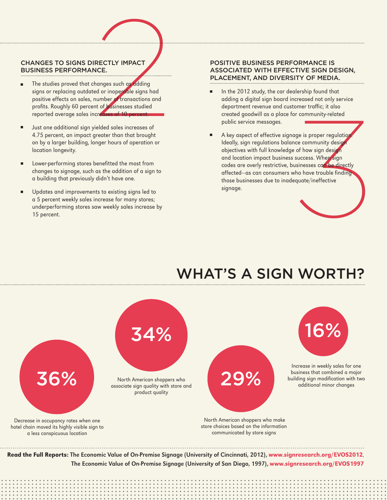### CHANGES TO SIGNS DIRECTLY IMPACT BUSINESS PERFORMANCE.

- CHANGES TO SIGNS DIRECTLY IMPACT<br>
BUSINESS PERFORMANCE.<br>
 The studies proved that changes such as didding<br>
signs or replacing outdated or inoperable signs had<br>
positive effects on sales, number or transactions and<br>
profi The studies proved that changes such as adding signs or replacing outdated or inoperable signs had positive effects on sales, number of transactions and profits. Roughly 60 percent of businesses studied reported average sales increases of 10 percent. ■
	- Just one additional sign yielded sales increases of 4.75 percent, an impact greater than that brought on by a larger building, longer hours of operation or location longevity. ■
	- Lower-performing stores benefitted the most from changes to signage, such as the addition of a sign to a building that previously didn't have one. ■
	- Updates and improvements to existing signs led to a 5 percent weekly sales increase for many stores; underperforming stores saw weekly sales increase by 15 percent. ■

#### POSITIVE BUSINESS PERFORMANCE IS ASSOCIATED WITH EFFECTIVE SIGN DESIGN, PLACEMENT, AND DIVERSITY OF MEDIA.

- In the 2012 study, the car dealership found that adding a digital sign board increased not only service department revenue and customer traffic; it also created goodwill as a place for community-related public service messages. ■
- mer traffic; it also<br>community-related<br>e is proper regulation.<br><br>a community design<br>f how sign design<br>inesses can be directly<br>o have trouble finding<br>uate/ineffective<br>wate/ineffective A key aspect of effective signage is proper regulation Ideally, sign regulations balance community design objectives with full knowledge of how sign design and location impact business success. When sign codes are overly restrictive, businesses can be directly affected—as can consumers who have trouble finding those businesses due to inadequate/ineffective signage. ■

## WHAT'S A SIGN WORTH



The Economic Value of On-Premise Signage (University of San Diego, 1997), www.signresearch.org/EVOS1997